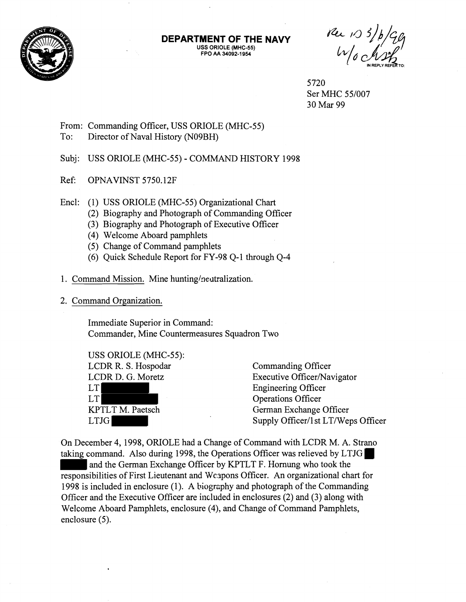

**DEPARTMENT OF THE NAVY USS ORIOLE (MHC-55) FPO AA 34092-1 954** 

Per 103/b/Gg

5720 Ser MHC 55/007 30 Mar 99

From: Commanding Officer, USS ORIOLE (MHC-55) To: Director of Naval History (N09BH)

Subj: USS ORIOLE (MHC-55) - COMMAND HISTORY 1998

Ref: OPNAVINST 5750.12F

Encl: (1) USS ORIOLE (MHC-55) Organizational Chart

- $(2)$  Biography and Photograph of Commanding Officer
- (3) Biography and Photograph of Executive Officer
- (4) Welcome Aboard pamphlets
- (5) Change of Command pamphlets
- (6) Quick Schedule Report for FY-98 Q-1 through Q-4
- 1. Command Mission. Mine hunting/neutralization.
- 2. Command Organization.

Immediate Superior in Command: Commander, Mine Countermeasures Squadron Two

USS ORIOLE (MHC-55): LCDR R. S. Hospodar Commanding Officer LT Engineering Officer LT Operations Officer

LCDR D. G. Moretz Executive Officer/Navigator KPTLT M. Paetsch German Exchange Officer LTJG Supply Officer/1 st LT/Weps Officer

On December 4,1998, ORIOLE had a Change of Command with LCDR M. A. Strano taking command. Also during 1998, the Operations Officer was relieved by LTJG and the German Exchange Officer by KPTLT F. Hornung who took the responsibilities of First Lieutenant and Weapons Officer. An organizational chart for 1998 is included in enclosure (1). A biogrzphy and photograph of the Commanding Officer and the Executive Officer are included in enclosures (2) and (3) along with Welcome Aboard Pamphlets, enclosure (4), and Change of Command Pamphlets, enclosure (5).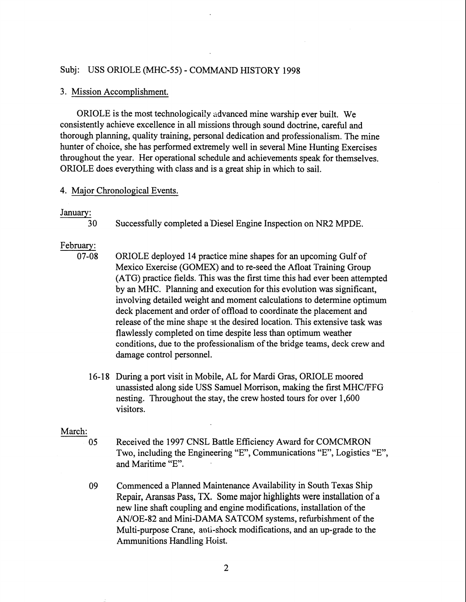## Subj: USS ORIOLE (MHC-55) - COMMAND HISTORY 1998

#### 3. Mission Accomplishment.

ORIOLE is the most technologically advanced mine warship ever built. We consistently achieve excellence in all missions through sound doctrine, careful and thorough planning, quality training, personal dedication and professionalism. The mine hunter of choice, she has performed extremely well in several Mine Hunting Exercises throughout the year. Her operational schedule and achievements speak for themselves. ORIOLE does everything with class and is a great ship in which to sail.

#### 4. Major Chronological Events.

## January:

30 Successfully completed a Diesel Engine Inspection on NR2 MPDE.

## February:

- 07-08 ORIOLE deployed 14 practice mine shapes for an upcoming Gulf of Mexico Exercise (GOMEX) and to re-seed the Afloat Training Group (ATG) practice fields. This was the first time this had ever been attempted by an MHC. Planning and execution for this evolution was significant, involving detailed weight and moment calculations to determine optimum deck placement and order of offload to coordinate the placement and release of the mine shape at the desired location. This extensive task was flawlessly completed on time despite less than optimum weather conditions, due to the professionalism of the bridge teams, deck crew and damage control personnel.
	- 16-18 During a port visit in Mobile, AL for Mardi Gras, ORIOLE moored unassisted along side USS Samuel Morrison, making the first MHCIFFG nesting. Throughout the stay, the crew hosted tours for over 1,600 visitors.

#### March:

- 05 Received the 1997 CNSL Battle Efficiency Award for COMCMRON Two, including the Engineering "E", Communications "E", Logistics "E", and Maritime "E".
- 09 Commenced a Planned Maintenance Availability in South Texas Ship Repair, Aransas Pass, TX. Some major highlights were installation of a new line shaft coupling and engine modifications, installation of the AN/OE-82 and Mini-DAMA SATCOM systems, refurbishment of the Multi-purpose Crane, anti-shock modifications, and an up-grade to the Ammunitions Handling Hoist.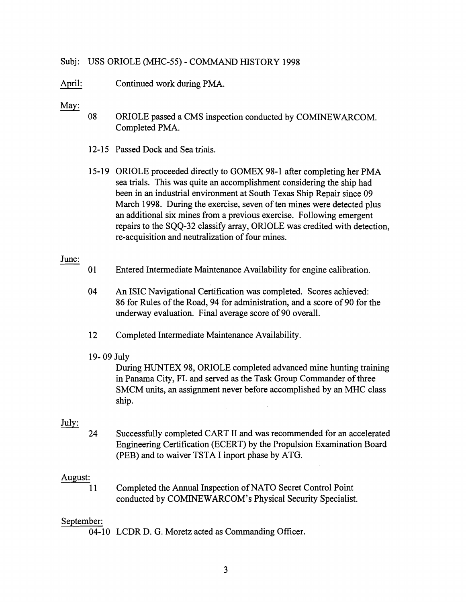## Subj: USS ORIOLE (MHC-55) - COMMAND HISTORY 1998

April: Continued work during PMA.

# May:

- 08 ORIOLE passed a CMS inspection conducted by COMINEWARCOM. Completed PMA.
- 12-15 Passed Dock and Sea trials.
- 15- 19 ORIOLE proceeded directly to GOMEX 98- 1 after completing her PMA sea trials. This was quite an accomplishment considering the ship had been in an industrial environment at South Texas Ship Repair since 09 March 1998. During the exercise, seven of ten mines were detected plus an additional six mines from a previous exercise. Following emergent repairs to the SQQ-32 classify array, ORIOLE was credited with detection, re-acquisition and neutralization of four mines.

#### June:

- 01 Entered Intermediate Maintenance Availability for engine calibration.
- 04 An ISIC Navigational Certification was completed. Scores achieved: 86 for Rules of the Road, 94 for administration, and a score of 90 for the underway evaluation. Final average score of 90 overall.
- 12 Completed Intermediate Maintenance Availability.

#### 19- 09 July

During HUNTEX 98, ORIOLE completed advanced mine hunting training in Panama City, FL and served as the Task Group Commander of three SMCM units, an assignment never before accomplished by an MHC class ship.

# July:

24 Successfully completed CART I1 and was recommended for an accelerated Engineering Certification (ECERT) by the Propulsion Examination Board (PEB) and to waiver TSTA I inport phase by ATG.

#### August:

11 Completed the Annual Inspection of NATO Secret Control Point conducted by COMINEWARCOM's Physical Security Specialist.

## September:

04-10 LCDR D. G. Moretz acted as Commanding Officer.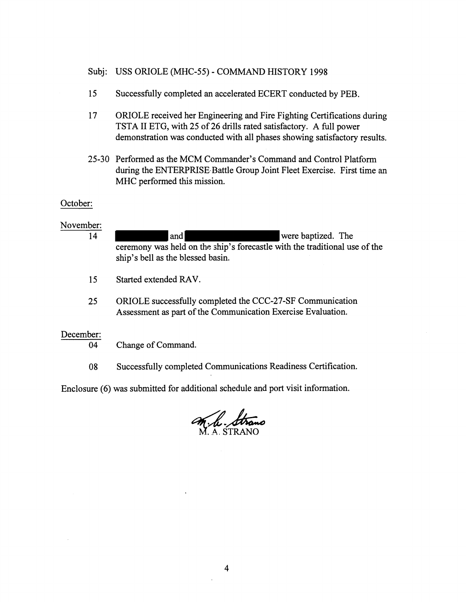- Subj: USS ORIOLE (MHC-55) COMMAND HISTORY 1998
- 15 Successfully completed an accelerated ECERT conducted by PEB.
- 17 ORIOLE received her Engineering and Fire Fighting Certifications during TSTA I1 ETG, with 25 of 26 drills rated satisfactory. A full power demonstration was conducted with all phases showing satisfactory results.
- 25-30 Performed as the MCM Commander's Command and Control Platform during the ENTERPRISE Battle Group Joint Fleet Exercise. First time an MHC performed this mission.

## October:

# November:

| 14              | were baptized. The<br>and<br>ceremony was held on the ship's forecastle with the traditional use of the<br>ship's bell as the blessed basin. |
|-----------------|----------------------------------------------------------------------------------------------------------------------------------------------|
| 15              | Started extended RAV.                                                                                                                        |
| 25              | ORIOLE successfully completed the CCC-27-SF Communication<br>Assessment as part of the Communication Exercise Evaluation.                    |
| December:<br>04 | Change of Command.                                                                                                                           |
| 08              | Successfully completed Communications Readiness Certification.                                                                               |

Enclosure *(6)* was submitted for additional schedule and port visit information.

ditional schedule and port visit info<br> *M.h. STRANO*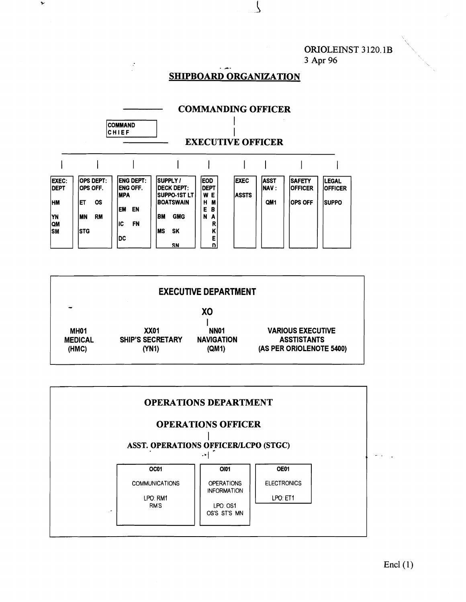ORIOLEINST **3** 120.1B **3 Apr 96** 

#### **SHIPBOARD ORGANIZATION**

 $\zeta$ 



|                                             |                                          | <b>EXECUTIVE DEPARTMENT</b>                    |                                                                            |
|---------------------------------------------|------------------------------------------|------------------------------------------------|----------------------------------------------------------------------------|
| ⊷                                           |                                          | XO                                             |                                                                            |
| MH <sub>01</sub><br><b>MEDICAL</b><br>(HMC) | XX01<br><b>SHIP'S SECRETARY</b><br>(YN1) | NN <sub>01</sub><br><b>NAVIGATION</b><br>(QM1) | <b>VARIOUS EXECUTIVE</b><br><b>ASSTISTANTS</b><br>(AS PER ORIOLENOTE 5400) |

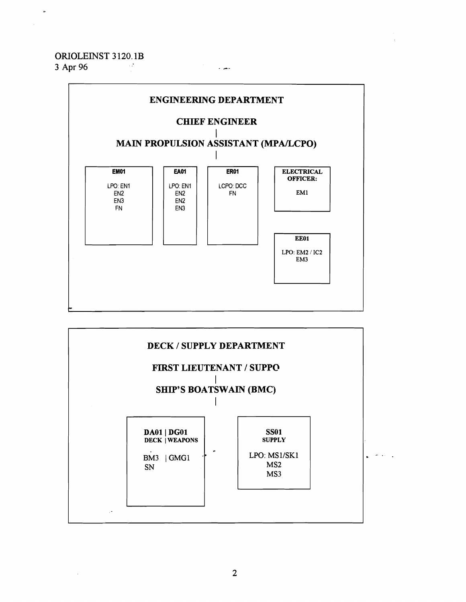# **ORIOLEINST 3** 120.1B

**3 Apr 96** - **&.** 

 $\sim$ 



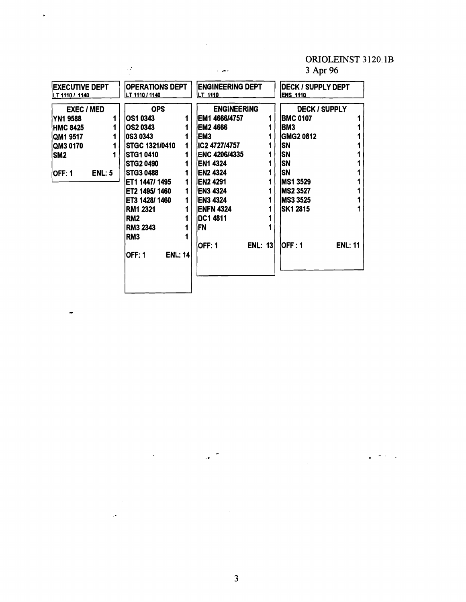## ORIOLErNST **3** 120. **lB**

المواجه  $\ddot{\phantom{1}}$ 

## **3 Apr 96**

| <b>OPS</b><br><b>ENGINEERING</b><br><b>DECK / SUPPLY</b><br><b>EXEC / MED</b><br>IOS1 0343<br>IEM1 4666/4757<br><b>BMC 0107</b><br><b>YN1 9588</b><br><b>IEM2 4666</b><br>IOS2 0343<br>BM3<br><b>HMC 8425</b><br><b>0S3 0343</b><br>IEM3<br><b>GMG2 0812</b><br>QM1 9517<br>IIC2 4727/4757<br>SN<br><b>ISTGC 1321/0410</b><br>QM3 0170<br>SN<br><b>ISTG1 0410</b><br><b>IENC 4206/4335</b><br>SM <sub>2</sub><br>ΙSΝ<br><b>EN1 4324</b><br>ISTG2 0490<br>SN<br><b>IEN2 4324</b><br>ISTG3 0488<br><b>ENL: 5</b><br><b>OFF: 1</b><br>ET1 1447/ 1495<br>IEN2 4291<br>IMS1 3529<br><b>EN3 4324</b><br>MS2 3527<br>ET2 1495/1460<br>1<br><b>IEN3 4324</b><br> MS3 3525<br>ET3 1428/1460<br><b>ENFN 4324</b><br> SK1 2815<br><b>RM1 2321</b><br>IDC1 4811<br>RM <sub>2</sub><br> FN<br><b>RM3 2343</b><br>RM <sub>3</sub><br>lOFF : 1<br><b>ENL: 11</b><br>lOFF: 1<br><b>ENL: 131</b><br><b>ENL: 14</b><br><b>OFF: 1</b> | <b>EXECUTIVE DEPT</b><br>LT 1110 / 1140 | <b>IOPERATIONS DEPT</b><br>LT 1110 / 1140 | <b>ENGINEERING DEPT</b><br>LT 1110 | DECK / SUPPLY DEPT<br><b>ENS 1110</b> |
|--------------------------------------------------------------------------------------------------------------------------------------------------------------------------------------------------------------------------------------------------------------------------------------------------------------------------------------------------------------------------------------------------------------------------------------------------------------------------------------------------------------------------------------------------------------------------------------------------------------------------------------------------------------------------------------------------------------------------------------------------------------------------------------------------------------------------------------------------------------------------------------------------------------------|-----------------------------------------|-------------------------------------------|------------------------------------|---------------------------------------|
|                                                                                                                                                                                                                                                                                                                                                                                                                                                                                                                                                                                                                                                                                                                                                                                                                                                                                                                    |                                         |                                           |                                    |                                       |

 $\ddot{\phantom{a}}$ 

بأبيض با

 $\ddot{\phantom{0}}$ 

 $\ddot{ }$ 

 $\overline{\mathbf{3}}$ 

 $\mathbb{R}^n$ 

 $\ddot{\phantom{a}}$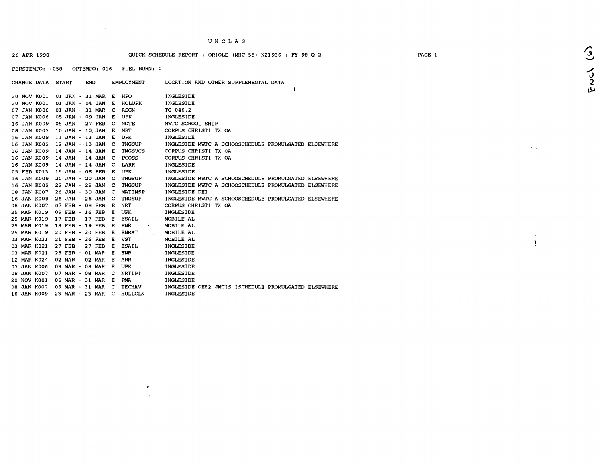#### 26 APR 1998 QUICK SCHEDULE REPORT : ORIOLE (MHC 55) N21936 : **FY-98** 4-2

PERSTEMPO: +058 OPTEMPO: 016 FUEL BURN: 0

 $\mathbf{v}$ 

| 20 NOV K001<br>01 JAN - 31 MAR<br>HPO<br>INGLESIDE<br>Е<br>INGLESIDE<br>20 NOV K001<br>01 JAN - 04 JAN E<br><b>HOLUPK</b><br>07 JAN K006<br>01 JAN - 31 MAR<br>C<br>ASGN<br>TG 046.2<br>05 JAN - 09 JAN<br>UPK<br>07 JAN K006<br>Е<br>INGLESIDE<br>16 JAN K009<br>05 JAN - 27 FEB<br>MWTC SCHOOL SHIP<br><b>NOTE</b><br>C<br>08 JAN K007<br>10 JAN - 10 JAN<br><b>NRT</b><br>CORPUS CHRISTI TX OA<br>Е<br>16 JAN K009<br>11 JAN - 13 JAN<br><b>UPK</b><br>INGLESIDE<br>Е<br>16 JAN K009<br>12 JAN - 13 JAN<br><b>TNGSUP</b><br>INGLESIDE MWTC A SCHOOSCHEDULE PROMULGATED ELSEWHERE<br>C<br>CORPUS CHRISTI TX OA<br>16 JAN K009<br>14 JAN - 14 JAN<br><b>TNGSVCS</b><br>E<br>16 JAN K009<br>14 JAN - 14 JAN<br>PCOSS<br>CORPUS CHRISTI TX OA<br>C<br>16 JAN K009<br>14 JAN - 14 JAN<br>LARR<br>c<br>INGLESIDE<br>05 FEB K013<br>15 JAN - 06 FEB<br>UPK<br><b>INGLESIDE</b><br>Е<br>16 JAN K009<br>20 JAN - 20 JAN<br>TNGSUP<br>INGLESIDE MWTC A SCHOOSCHEDULE PROMULGATED ELSEWHERE<br>C<br>16 JAN K009<br>22 JAN - 22 JAN<br><b>TNGSUP</b><br>C<br>INGLESIDE MWTC A SCHOOSCHEDULE PROMULGATED ELSEWHERE<br>08 JAN K007<br>26 JAN - 30 JAN<br>MATINSP<br>INGLESIDE DEI<br>- C<br>16 JAN K009<br>26 JAN - 26 JAN<br><b>TNGSUP</b><br>INGLESIDE MWTC A SCHOOSCHEDULE PROMULGATED ELSEWHERE<br>- C<br>08 JAN K007<br>07 FEB - 08 FEB<br><b>NRT</b><br>CORPUS CHRISTI TX OA<br>Е<br>25 MAR K019<br>09 FEB - 16 FEB<br>UPK<br><b>INGLESIDE</b><br>Е<br>25 MAR K019<br>17 FEB - 17 FEB<br>ESAIL<br>MOBILE AL<br>Е<br>25 MAR K019<br>ENR<br>MOBILE AL<br>18 FEB - 19 FEB<br>Е<br>$\mathbf{I}$<br>25 MAR K019<br><b>ENRAT</b><br>MOBILE AL<br>20 FEB - 20 FEB<br>Е<br>03 MAR K021<br>21 FEB - 26 FEB<br>VST<br>MOBILE AL<br>Е<br>03 MAR K021<br><b>ESAIL</b><br><b>INGLESIDE</b><br>27 FEB - 27 FEB<br>Е<br>03 MAR K021<br>28 FEB - 01 MAR<br>E<br><b>ENR</b><br><b>INGLESIDE</b><br>12 MAR K024<br>02 MAR - 02 MAR<br>ARR<br>E<br>INGLESIDE<br>07 JAN K006<br>03 MAR - 08 MAR<br>UPK<br><b>INGLESIDE</b><br>E<br>08 JAN K007<br>07 MAR - 08 MAR C<br><b>NRTIPT</b><br><b>INGLESIDE</b><br>20 NOV K001<br>09 MAR - 31 MAR E<br><b>PMA</b><br>INGLESIDE<br>08 JAN K007<br>09 MAR - 31 MAR<br><b>TECHAV</b><br>INGLESIDE OE82 JMCIS ISCHEDULE PROMULGATED ELSEWHERE<br><b>C</b><br>16 JAN K009<br>23 MAR - 23 MAR C<br>HULLCLN<br><b>INGLESIDE</b> | <b>CHANGE DATA</b> | START | <b>END</b> | <b>EMPLOYMENT</b> | LOCATION AND OTHER SUPPLEMENTAL DATA |
|------------------------------------------------------------------------------------------------------------------------------------------------------------------------------------------------------------------------------------------------------------------------------------------------------------------------------------------------------------------------------------------------------------------------------------------------------------------------------------------------------------------------------------------------------------------------------------------------------------------------------------------------------------------------------------------------------------------------------------------------------------------------------------------------------------------------------------------------------------------------------------------------------------------------------------------------------------------------------------------------------------------------------------------------------------------------------------------------------------------------------------------------------------------------------------------------------------------------------------------------------------------------------------------------------------------------------------------------------------------------------------------------------------------------------------------------------------------------------------------------------------------------------------------------------------------------------------------------------------------------------------------------------------------------------------------------------------------------------------------------------------------------------------------------------------------------------------------------------------------------------------------------------------------------------------------------------------------------------------------------------------------------------------------------------------------------------------------------------------------------------------------------------------------------------------------------------------------------------------------------------------------------------------------------------------------------------------------|--------------------|-------|------------|-------------------|--------------------------------------|
|                                                                                                                                                                                                                                                                                                                                                                                                                                                                                                                                                                                                                                                                                                                                                                                                                                                                                                                                                                                                                                                                                                                                                                                                                                                                                                                                                                                                                                                                                                                                                                                                                                                                                                                                                                                                                                                                                                                                                                                                                                                                                                                                                                                                                                                                                                                                          |                    |       |            |                   |                                      |
|                                                                                                                                                                                                                                                                                                                                                                                                                                                                                                                                                                                                                                                                                                                                                                                                                                                                                                                                                                                                                                                                                                                                                                                                                                                                                                                                                                                                                                                                                                                                                                                                                                                                                                                                                                                                                                                                                                                                                                                                                                                                                                                                                                                                                                                                                                                                          |                    |       |            |                   |                                      |
|                                                                                                                                                                                                                                                                                                                                                                                                                                                                                                                                                                                                                                                                                                                                                                                                                                                                                                                                                                                                                                                                                                                                                                                                                                                                                                                                                                                                                                                                                                                                                                                                                                                                                                                                                                                                                                                                                                                                                                                                                                                                                                                                                                                                                                                                                                                                          |                    |       |            |                   |                                      |
|                                                                                                                                                                                                                                                                                                                                                                                                                                                                                                                                                                                                                                                                                                                                                                                                                                                                                                                                                                                                                                                                                                                                                                                                                                                                                                                                                                                                                                                                                                                                                                                                                                                                                                                                                                                                                                                                                                                                                                                                                                                                                                                                                                                                                                                                                                                                          |                    |       |            |                   |                                      |
|                                                                                                                                                                                                                                                                                                                                                                                                                                                                                                                                                                                                                                                                                                                                                                                                                                                                                                                                                                                                                                                                                                                                                                                                                                                                                                                                                                                                                                                                                                                                                                                                                                                                                                                                                                                                                                                                                                                                                                                                                                                                                                                                                                                                                                                                                                                                          |                    |       |            |                   |                                      |
|                                                                                                                                                                                                                                                                                                                                                                                                                                                                                                                                                                                                                                                                                                                                                                                                                                                                                                                                                                                                                                                                                                                                                                                                                                                                                                                                                                                                                                                                                                                                                                                                                                                                                                                                                                                                                                                                                                                                                                                                                                                                                                                                                                                                                                                                                                                                          |                    |       |            |                   |                                      |
|                                                                                                                                                                                                                                                                                                                                                                                                                                                                                                                                                                                                                                                                                                                                                                                                                                                                                                                                                                                                                                                                                                                                                                                                                                                                                                                                                                                                                                                                                                                                                                                                                                                                                                                                                                                                                                                                                                                                                                                                                                                                                                                                                                                                                                                                                                                                          |                    |       |            |                   |                                      |
|                                                                                                                                                                                                                                                                                                                                                                                                                                                                                                                                                                                                                                                                                                                                                                                                                                                                                                                                                                                                                                                                                                                                                                                                                                                                                                                                                                                                                                                                                                                                                                                                                                                                                                                                                                                                                                                                                                                                                                                                                                                                                                                                                                                                                                                                                                                                          |                    |       |            |                   |                                      |
|                                                                                                                                                                                                                                                                                                                                                                                                                                                                                                                                                                                                                                                                                                                                                                                                                                                                                                                                                                                                                                                                                                                                                                                                                                                                                                                                                                                                                                                                                                                                                                                                                                                                                                                                                                                                                                                                                                                                                                                                                                                                                                                                                                                                                                                                                                                                          |                    |       |            |                   |                                      |
|                                                                                                                                                                                                                                                                                                                                                                                                                                                                                                                                                                                                                                                                                                                                                                                                                                                                                                                                                                                                                                                                                                                                                                                                                                                                                                                                                                                                                                                                                                                                                                                                                                                                                                                                                                                                                                                                                                                                                                                                                                                                                                                                                                                                                                                                                                                                          |                    |       |            |                   |                                      |
|                                                                                                                                                                                                                                                                                                                                                                                                                                                                                                                                                                                                                                                                                                                                                                                                                                                                                                                                                                                                                                                                                                                                                                                                                                                                                                                                                                                                                                                                                                                                                                                                                                                                                                                                                                                                                                                                                                                                                                                                                                                                                                                                                                                                                                                                                                                                          |                    |       |            |                   |                                      |
|                                                                                                                                                                                                                                                                                                                                                                                                                                                                                                                                                                                                                                                                                                                                                                                                                                                                                                                                                                                                                                                                                                                                                                                                                                                                                                                                                                                                                                                                                                                                                                                                                                                                                                                                                                                                                                                                                                                                                                                                                                                                                                                                                                                                                                                                                                                                          |                    |       |            |                   |                                      |
|                                                                                                                                                                                                                                                                                                                                                                                                                                                                                                                                                                                                                                                                                                                                                                                                                                                                                                                                                                                                                                                                                                                                                                                                                                                                                                                                                                                                                                                                                                                                                                                                                                                                                                                                                                                                                                                                                                                                                                                                                                                                                                                                                                                                                                                                                                                                          |                    |       |            |                   |                                      |
|                                                                                                                                                                                                                                                                                                                                                                                                                                                                                                                                                                                                                                                                                                                                                                                                                                                                                                                                                                                                                                                                                                                                                                                                                                                                                                                                                                                                                                                                                                                                                                                                                                                                                                                                                                                                                                                                                                                                                                                                                                                                                                                                                                                                                                                                                                                                          |                    |       |            |                   |                                      |
|                                                                                                                                                                                                                                                                                                                                                                                                                                                                                                                                                                                                                                                                                                                                                                                                                                                                                                                                                                                                                                                                                                                                                                                                                                                                                                                                                                                                                                                                                                                                                                                                                                                                                                                                                                                                                                                                                                                                                                                                                                                                                                                                                                                                                                                                                                                                          |                    |       |            |                   |                                      |
|                                                                                                                                                                                                                                                                                                                                                                                                                                                                                                                                                                                                                                                                                                                                                                                                                                                                                                                                                                                                                                                                                                                                                                                                                                                                                                                                                                                                                                                                                                                                                                                                                                                                                                                                                                                                                                                                                                                                                                                                                                                                                                                                                                                                                                                                                                                                          |                    |       |            |                   |                                      |
|                                                                                                                                                                                                                                                                                                                                                                                                                                                                                                                                                                                                                                                                                                                                                                                                                                                                                                                                                                                                                                                                                                                                                                                                                                                                                                                                                                                                                                                                                                                                                                                                                                                                                                                                                                                                                                                                                                                                                                                                                                                                                                                                                                                                                                                                                                                                          |                    |       |            |                   |                                      |
|                                                                                                                                                                                                                                                                                                                                                                                                                                                                                                                                                                                                                                                                                                                                                                                                                                                                                                                                                                                                                                                                                                                                                                                                                                                                                                                                                                                                                                                                                                                                                                                                                                                                                                                                                                                                                                                                                                                                                                                                                                                                                                                                                                                                                                                                                                                                          |                    |       |            |                   |                                      |
|                                                                                                                                                                                                                                                                                                                                                                                                                                                                                                                                                                                                                                                                                                                                                                                                                                                                                                                                                                                                                                                                                                                                                                                                                                                                                                                                                                                                                                                                                                                                                                                                                                                                                                                                                                                                                                                                                                                                                                                                                                                                                                                                                                                                                                                                                                                                          |                    |       |            |                   |                                      |
|                                                                                                                                                                                                                                                                                                                                                                                                                                                                                                                                                                                                                                                                                                                                                                                                                                                                                                                                                                                                                                                                                                                                                                                                                                                                                                                                                                                                                                                                                                                                                                                                                                                                                                                                                                                                                                                                                                                                                                                                                                                                                                                                                                                                                                                                                                                                          |                    |       |            |                   |                                      |
|                                                                                                                                                                                                                                                                                                                                                                                                                                                                                                                                                                                                                                                                                                                                                                                                                                                                                                                                                                                                                                                                                                                                                                                                                                                                                                                                                                                                                                                                                                                                                                                                                                                                                                                                                                                                                                                                                                                                                                                                                                                                                                                                                                                                                                                                                                                                          |                    |       |            |                   |                                      |
|                                                                                                                                                                                                                                                                                                                                                                                                                                                                                                                                                                                                                                                                                                                                                                                                                                                                                                                                                                                                                                                                                                                                                                                                                                                                                                                                                                                                                                                                                                                                                                                                                                                                                                                                                                                                                                                                                                                                                                                                                                                                                                                                                                                                                                                                                                                                          |                    |       |            |                   |                                      |
|                                                                                                                                                                                                                                                                                                                                                                                                                                                                                                                                                                                                                                                                                                                                                                                                                                                                                                                                                                                                                                                                                                                                                                                                                                                                                                                                                                                                                                                                                                                                                                                                                                                                                                                                                                                                                                                                                                                                                                                                                                                                                                                                                                                                                                                                                                                                          |                    |       |            |                   |                                      |
|                                                                                                                                                                                                                                                                                                                                                                                                                                                                                                                                                                                                                                                                                                                                                                                                                                                                                                                                                                                                                                                                                                                                                                                                                                                                                                                                                                                                                                                                                                                                                                                                                                                                                                                                                                                                                                                                                                                                                                                                                                                                                                                                                                                                                                                                                                                                          |                    |       |            |                   |                                      |
|                                                                                                                                                                                                                                                                                                                                                                                                                                                                                                                                                                                                                                                                                                                                                                                                                                                                                                                                                                                                                                                                                                                                                                                                                                                                                                                                                                                                                                                                                                                                                                                                                                                                                                                                                                                                                                                                                                                                                                                                                                                                                                                                                                                                                                                                                                                                          |                    |       |            |                   |                                      |
|                                                                                                                                                                                                                                                                                                                                                                                                                                                                                                                                                                                                                                                                                                                                                                                                                                                                                                                                                                                                                                                                                                                                                                                                                                                                                                                                                                                                                                                                                                                                                                                                                                                                                                                                                                                                                                                                                                                                                                                                                                                                                                                                                                                                                                                                                                                                          |                    |       |            |                   |                                      |
|                                                                                                                                                                                                                                                                                                                                                                                                                                                                                                                                                                                                                                                                                                                                                                                                                                                                                                                                                                                                                                                                                                                                                                                                                                                                                                                                                                                                                                                                                                                                                                                                                                                                                                                                                                                                                                                                                                                                                                                                                                                                                                                                                                                                                                                                                                                                          |                    |       |            |                   |                                      |
|                                                                                                                                                                                                                                                                                                                                                                                                                                                                                                                                                                                                                                                                                                                                                                                                                                                                                                                                                                                                                                                                                                                                                                                                                                                                                                                                                                                                                                                                                                                                                                                                                                                                                                                                                                                                                                                                                                                                                                                                                                                                                                                                                                                                                                                                                                                                          |                    |       |            |                   |                                      |
|                                                                                                                                                                                                                                                                                                                                                                                                                                                                                                                                                                                                                                                                                                                                                                                                                                                                                                                                                                                                                                                                                                                                                                                                                                                                                                                                                                                                                                                                                                                                                                                                                                                                                                                                                                                                                                                                                                                                                                                                                                                                                                                                                                                                                                                                                                                                          |                    |       |            |                   |                                      |
|                                                                                                                                                                                                                                                                                                                                                                                                                                                                                                                                                                                                                                                                                                                                                                                                                                                                                                                                                                                                                                                                                                                                                                                                                                                                                                                                                                                                                                                                                                                                                                                                                                                                                                                                                                                                                                                                                                                                                                                                                                                                                                                                                                                                                                                                                                                                          |                    |       |            |                   |                                      |
|                                                                                                                                                                                                                                                                                                                                                                                                                                                                                                                                                                                                                                                                                                                                                                                                                                                                                                                                                                                                                                                                                                                                                                                                                                                                                                                                                                                                                                                                                                                                                                                                                                                                                                                                                                                                                                                                                                                                                                                                                                                                                                                                                                                                                                                                                                                                          |                    |       |            |                   |                                      |

Fruch (6)

 $\sim 1$ 

 $\alpha$  $\ddot{\mathbf{y}}$ 

 $\mathcal{L}$ 

PAGE 1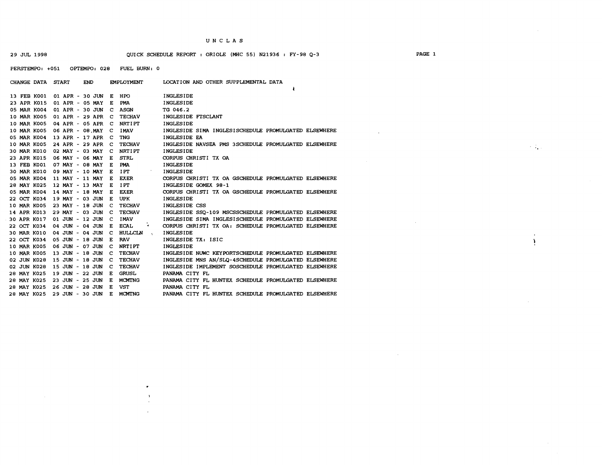$\sim 10^6$ 

29 JUL 1998 QUICK SCHEDULE REWRT : ORIOLE (MHC 55) N21936 : FY-98 **Q-3** PAGE 1

PERSTEMPO: +051 OPTEMPO: 028 FUEL BURN: 0

| CHANGE DATA START  | <b>END</b>             | <b>EMPLOYMENT</b>                        | LOCATION AND OTHER SUPPLEMENTAL DATA                 |
|--------------------|------------------------|------------------------------------------|------------------------------------------------------|
|                    |                        |                                          |                                                      |
| 13 FEB K001        | 01 APR - 30 JUN        | HPO<br>E                                 | <b>INGLESIDE</b>                                     |
| 23 APR K015        | 01 APR - 05 MAY        | PMA<br>Е                                 | <b>INGLESIDE</b>                                     |
| 05 MAR K004        | 01 APR - 30 JUN        | <b>ASGN</b><br>c                         | TG 046.2                                             |
| <b>10 MAR K005</b> | 01 APR - 29 APR        | <b>TECHAV</b><br>c                       | INGLESIDE FTSCLANT                                   |
| 10 MAR K005        | 04 APR - 05 APR        | <b>NRTIPT</b><br>C                       | <b>INGLESIDE</b>                                     |
| 10 MAR K005        | 06 APR - 08 MAY        | <b>IMAV</b><br>C                         | INGLESIDE SIMA INGLESISCHEDULE PROMULGATED ELSEWHERE |
| 05 MAR K004        | 13 APR - 17 APR        | <b>TNG</b><br>- C                        | INGLESIDE EA                                         |
| 10 MAR K005        | 24 APR - 29 APR        | <b>TECHAV</b><br>C                       | INGLESIDE NAVSEA PMS 3SCHEDULE PROMULGATED ELSEWHERE |
| 30 MAR K010        | 02 MAY - 03 MAY        | <b>NRTIPT</b><br>C                       | <b>INGLESIDE</b>                                     |
| 23 APR K015        | 06 MAY - 06 MAY        | <b>STRL</b><br>Е                         | CORPUS CHRISTI TX OA                                 |
| 13 FEB K001        | 07 MAY - 08 MAY        | <b>PMA</b><br>Е                          | <b>INGLESIDE</b>                                     |
| <b>30 MAR K010</b> | 09 MAY - 10 MAY        | IPT<br>E                                 | INGLESIDE                                            |
| 05 MAR K004        | 11 MAY - 11 MAY        | <b>EXER</b><br>Е                         | CORPUS CHRISTI TX OA GSCHEDULE PROMULGATED ELSEWHERE |
| 28 MAY K025        | 12 MAY - 13 MAY        | <b>IPT</b><br>Е                          | INGLESIDE GOMEX 98-1                                 |
| 05 MAR K004        | 14 MAY - 18 MAY        | <b>EXER</b><br>Е                         | CORPUS CHRISTI TX OA GSCHEDULE PROMULGATED ELSEWHERE |
| 22 OCT K034        | 19 MAY - 03 JUN        | <b>UPK</b><br>Е                          | INGLESIDE                                            |
| 10 MAR K005        | 23 MAY - 18 JUN        | <b>TECHAV</b><br>C                       | INGLESIDE CSS                                        |
| 14 APR K013        | 29 MAY - 03 JUN        | <b>TECHAV</b><br>C                       | INGLESIDE SSO-109 MSCSSCHEDULE PROMULGATED ELSEWHERE |
| 30 APR K017        | 01 JUN - 12 JUN        | <b>IMAV</b><br>c                         | INGLESIDE SIMA INGLESISCHEDULE PROMULGATED ELSEWHERE |
| 22 OCT K034        | 04 JUN - 04 JUN        | <b>ECAL</b><br>$\blacktriangleleft$<br>Е | CORPUS CHRISTI TX OA: SCHEDULE PROMULGATED ELSEWHERE |
| 30 MAR K010        | 04 JUN - 04 JUN        | - C<br>HULLCLN<br>$\mathbf{R}$           | <b>INGLESIDE</b>                                     |
| 22 OCT K034        | 05 JUN - 18 JUN        | <b>RAV</b><br>E                          | INGLESIDE TX: ISIC                                   |
| <b>10 MAR K005</b> | <b>06 JUN - 07 JUN</b> | <b>NRTIPT</b><br>c                       | <b>INGLESIDE</b>                                     |
| <b>10 MAR K005</b> | 13 JUN - 18 JUN        | <b>TECHAV</b><br>- C                     | INGLESIDE NUWC KEYPORTSCHEDULE PROMULGATED ELSEWHERE |
| 02 JUN K028        | 15 JUN - 18 JUN        | <b>TECHAV</b><br>c                       | INGLESIDE MNS AN/SLO-4SCHEDULE PROMULGATED ELSEWHERE |
| 02 JUN K028        | 15 JUN - 18 JUN        | <b>TECHAV</b><br>с                       | INGLESIDE IMPLEMENT SOSCHEDULE PROMULGATED ELSEWHERE |
| 28 MAY K025        | 19 JUN - 22 JUN        | <b>GRUSL</b><br>E                        | PANAMA CITY FL                                       |
| 28 MAY K025        | 23 JUN - 25 JUN        | E<br><b>MCMTNG</b>                       | PANAMA CITY FL HUNTEX SCHEDULE PROMULGATED ELSEWHERE |
| 28 MAY K025        | 26 JUN - 28 JUN        | Е<br><b>VST</b>                          | PANAMA CITY FL                                       |
| 28 MAY K025        | 29 JUN - 30 JUN        | Е<br><b>MCMTNG</b>                       | PANAMA CITY FL HUNTEX SCHEDULE PROMULGATED ELSEWHERE |

 $\ddot{\phantom{0}}$ 

 $\overline{\mathbf{A}}$ 

 $\sim 10^7$ 

 $\sim 100$  km s  $^{-1}$ 

 $\sim 10^7$ 

 $\sim 100$ 

 $\cdot$  $\mathbf{A}$ 

 $\sim$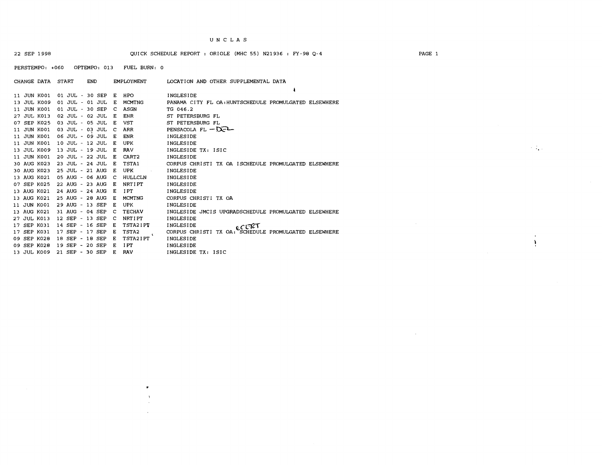#### 22 SEP 1998 QUICK SCHEDULE REWRT : ORIOLE (MHC 55) N21936 : FY-98 Q-4

PERSTEMPO: +060 OPTEMPO: 013 FUEL BURN: 0

| CHANGE DATA START |                 | END | <b>EMPLOYMENT</b>      | LOCATION AND OTHER SUPPLEMENTAL DATA                  |
|-------------------|-----------------|-----|------------------------|-------------------------------------------------------|
|                   |                 |     |                        |                                                       |
| 11 JUN K001       | 01 JUL - 30 SEP |     | HPO<br>Е               | INGLESIDE                                             |
| 13 JUL K009       | 01 JUL - 01 JUL |     | <b>MCMTNG</b><br>Е     | PANAMA CITY FL OA: HUNTSCHEDULE PROMULGATED ELSEWHERE |
| 11 JUN K001       | 01 JUL - 30 SEP |     | <b>ASGN</b><br>C       | TG 046.2                                              |
| 27 JUL K013       | 02 JUL - 02 JUL |     | <b>ENR</b><br>E        | ST PETERSBURG FL                                      |
| 07 SEP K025       | 03 JUL - 05 JUL |     | <b>VST</b><br>Е        | ST PETERSBURG FL                                      |
| 11 JUN K001       | 03 JUL - 03 JUL |     | ARR<br>C               | PENSACOLA FL $-\mathbb{Q}$ -                          |
| 11 JUN K001       | 06 JUL - 09 JUL |     | <b>ENR</b><br>Е        | INGLESIDE                                             |
| 11 JUN K001       | 10 JUL - 12 JUL |     | UPK<br>E               | INGLESIDE                                             |
| 13 JUL K009       | 13 JUL - 19 JUL |     | <b>RAV</b><br>E        | INGLESIDE TX: ISIC                                    |
| 11 JUN K001       | 20 JUL - 22 JUL |     | CART <sub>2</sub><br>Е | INGLESIDE                                             |
| 30 AUG K023       | 23 JUL - 24 JUL |     | TSTA1<br>Е             | CORPUS CHRISTI TX OA ISCHEDULE PROMULGATED ELSEWHERE  |
| 30 AUG K023       | 25 JUL - 21 AUG |     | UPK<br>Е<br>$\sim$     | INGLESIDE                                             |
| 13 AUG K021       | 05 AUG - 06 AUG |     | HULLCLN<br>c           | INGLESIDE                                             |
| 07 SEP K025       | 22 AUG - 23 AUG |     | <b>NRTIPT</b><br>Е     | INGLESIDE                                             |
| 13 AUG K021       | 24 AUG - 24 AUG |     | I PT<br>Е              | INGLESIDE                                             |
| 13 AUG K021       | 25 AUG - 28 AUG |     | <b>MCMTNG</b><br>Е     | CORPUS CHRISTI TX OA                                  |
| 11 JUN K001       | 29 AUG - 13 SEP |     | UPK<br>Е               | <b>INGLESIDE</b>                                      |
| 13 AUG K021       | 31 AUG - 04 SEP |     | <b>TECHAV</b><br>с     | INGLESIDE JMCIS UPGRADSCHEDULE PROMULGATED ELSEWHERE  |
| 27 JUL K013       | 12 SEP - 13 SEP |     | <b>NRTIPT</b><br>- C   | INGLESIDE                                             |
| 17 SEP K031       | 14 SEP - 16 SEP |     | <b>TSTA2IPT</b><br>Е   | INGLESIDE<br>G CERT                                   |
| 17 SEP K031       | 17 SEP - 17 SEP |     | TSTA <sub>2</sub><br>Е | CORPUS CHRISTI TX OA: SCHEDULE PROMULGATED ELSEWHERE  |
| 09 SEP K028       | 18 SEP - 18 SEP |     | TSTA2IPT<br>Е          | <b>INGLESIDE</b>                                      |
| 09 SEP K028       | 19 SEP - 20 SEP |     | IPT<br>Е               | <b>INGLESIDE</b>                                      |
| 13 JUL K009       | 21 SEP - 30 SEP |     | <b>RAV</b><br>Е        | INGLESIDE TX: ISIC                                    |

 $\pmb{v}$ 

#### PAGE 1

 $\sim 10^7$ 

 $\sim 100$ 

 $\mathcal{A}^{\pm}$  $\mathbf{y}$